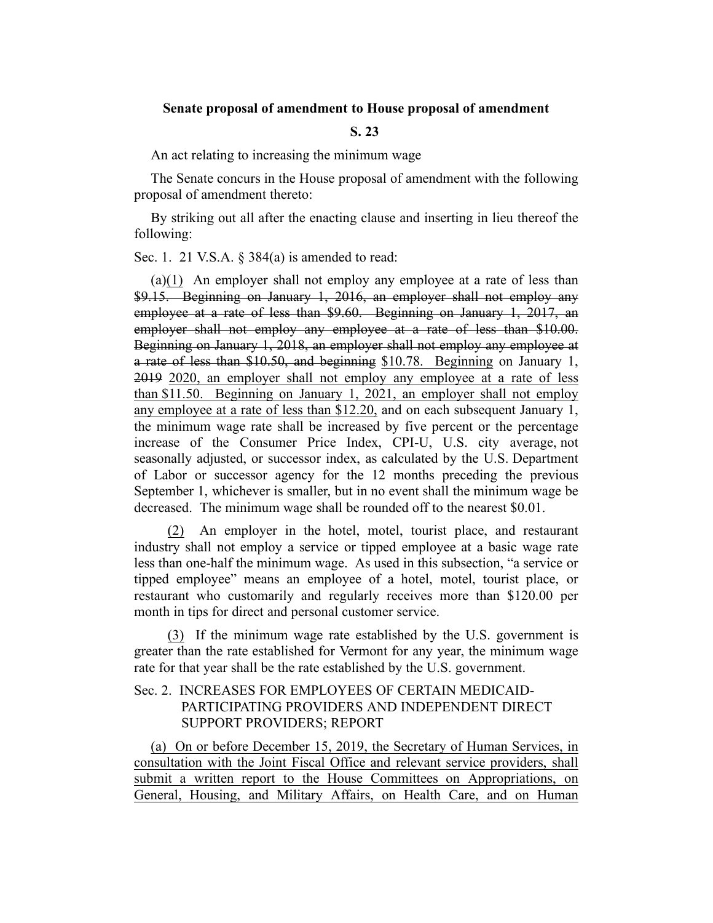## **Senate proposal of amendment to House proposal of amendment**

## **S. 23**

An act relating to increasing the minimum wage

The Senate concurs in the House proposal of amendment with the following proposal of amendment thereto:

By striking out all after the enacting clause and inserting in lieu thereof the following:

Sec. 1. 21 V.S.A. § 384(a) is amended to read:

(a)(1) An employer shall not employ any employee at a rate of less than \$9.15. Beginning on January 1, 2016, an employer shall not employ any employee at a rate of less than \$9.60. Beginning on January 1, 2017, an employer shall not employ any employee at a rate of less than \$10.00. Beginning on January 1, 2018, an employer shall not employ any employee at a rate of less than \$10.50, and beginning \$10.78. Beginning on January 1, 2019 2020, an employer shall not employ any employee at a rate of less than \$11.50. Beginning on January 1, 2021, an employer shall not employ any employee at a rate of less than \$12.20, and on each subsequent January 1, the minimum wage rate shall be increased by five percent or the percentage increase of the Consumer Price Index, CPI-U, U.S. city average, not seasonally adjusted, or successor index, as calculated by the U.S. Department of Labor or successor agency for the 12 months preceding the previous September 1, whichever is smaller, but in no event shall the minimum wage be decreased. The minimum wage shall be rounded off to the nearest \$0.01.

(2) An employer in the hotel, motel, tourist place, and restaurant industry shall not employ a service or tipped employee at a basic wage rate less than one-half the minimum wage. As used in this subsection, "a service or tipped employee" means an employee of a hotel, motel, tourist place, or restaurant who customarily and regularly receives more than \$120.00 per month in tips for direct and personal customer service.

(3) If the minimum wage rate established by the U.S. government is greater than the rate established for Vermont for any year, the minimum wage rate for that year shall be the rate established by the U.S. government.

## Sec. 2. INCREASES FOR EMPLOYEES OF CERTAIN MEDICAID-PARTICIPATING PROVIDERS AND INDEPENDENT DIRECT SUPPORT PROVIDERS; REPORT

(a) On or before December 15, 2019, the Secretary of Human Services, in consultation with the Joint Fiscal Office and relevant service providers, shall submit a written report to the House Committees on Appropriations, on General, Housing, and Military Affairs, on Health Care, and on Human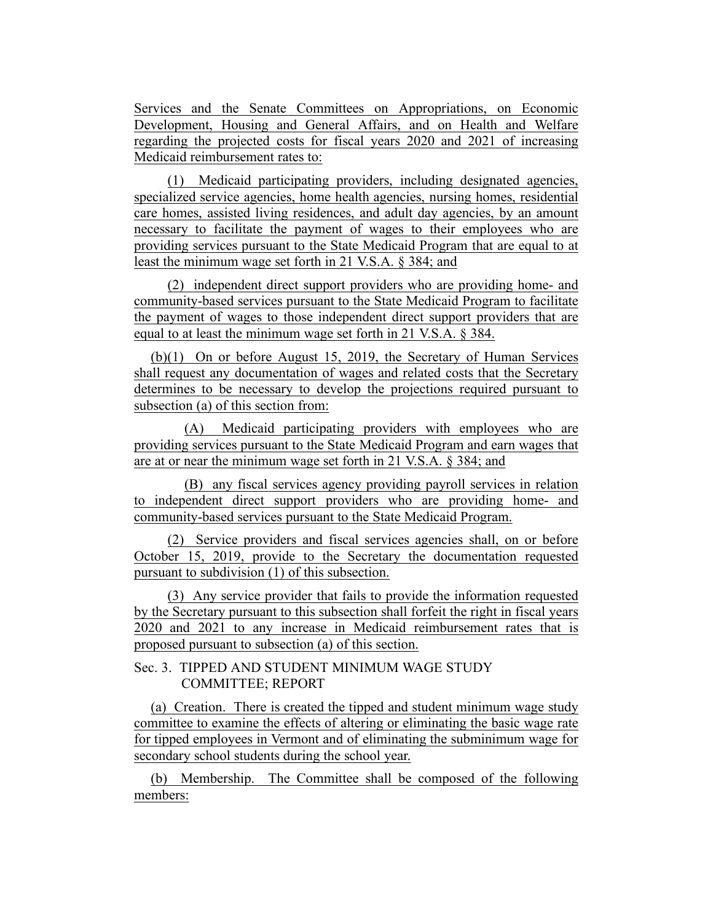Services and the Senate Committees on Appropriations, on Economic Development, Housing and General Affairs, and on Health and Welfare regarding the projected costs for fiscal years 2020 and 2021 of increasing Medicaid reimbursement rates to:

(1) Medicaid participating providers, including designated agencies, specialized service agencies, home health agencies, nursing homes, residential care homes, assisted living residences, and adult day agencies, by an amount necessary to facilitate the payment of wages to their employees who are providing services pursuant to the State Medicaid Program that are equal to at least the minimum wage set forth in 21 V.S.A. § 384; and

(2) independent direct support providers who are providing home- and community-based services pursuant to the State Medicaid Program to facilitate the payment of wages to those independent direct support providers that are equal to at least the minimum wage set forth in 21 V.S.A. § 384.

(b)(1) On or before August 15, 2019, the Secretary of Human Services shall request any documentation of wages and related costs that the Secretary determines to be necessary to develop the projections required pursuant to subsection (a) of this section from:

(A) Medicaid participating providers with employees who are providing services pursuant to the State Medicaid Program and earn wages that are at or near the minimum wage set forth in 21 V.S.A. § 384; and

(B) any fiscal services agency providing payroll services in relation to independent direct support providers who are providing home- and community-based services pursuant to the State Medicaid Program.

(2) Service providers and fiscal services agencies shall, on or before October 15, 2019, provide to the Secretary the documentation requested pursuant to subdivision (1) of this subsection.

(3) Any service provider that fails to provide the information requested by the Secretary pursuant to this subsection shall forfeit the right in fiscal years 2020 and 2021 to any increase in Medicaid reimbursement rates that is proposed pursuant to subsection (a) of this section.

## Sec. 3. TIPPED AND STUDENT MINIMUM WAGE STUDY COMMITTEE; REPORT

(a) Creation. There is created the tipped and student minimum wage study committee to examine the effects of altering or eliminating the basic wage rate for tipped employees in Vermont and of eliminating the subminimum wage for secondary school students during the school year.

(b) Membership. The Committee shall be composed of the following members: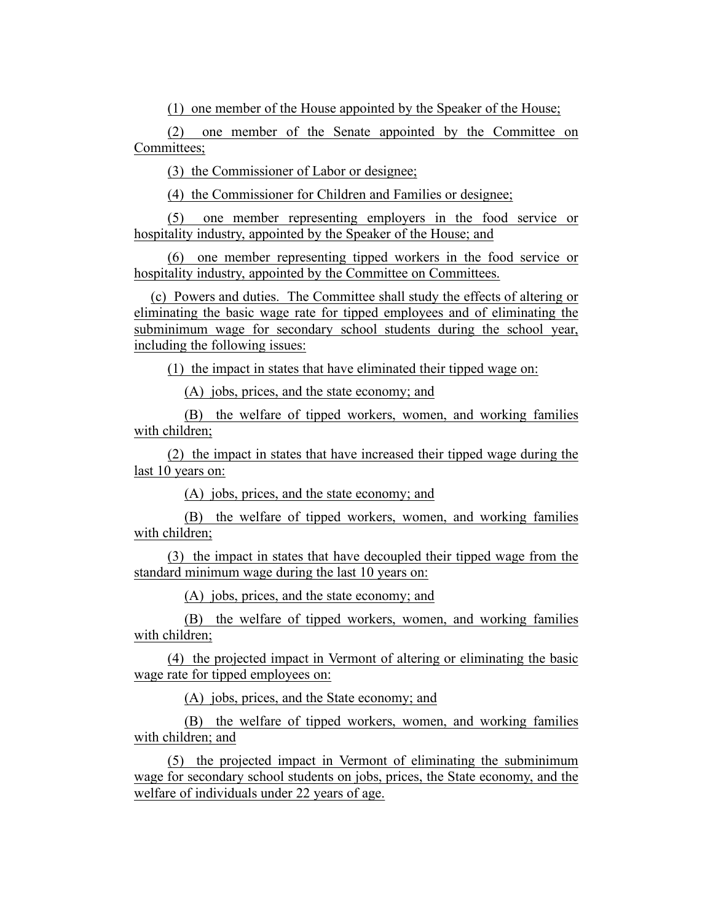(1) one member of the House appointed by the Speaker of the House;

(2) one member of the Senate appointed by the Committee on Committees;

(3) the Commissioner of Labor or designee;

(4) the Commissioner for Children and Families or designee;

(5) one member representing employers in the food service or hospitality industry, appointed by the Speaker of the House; and

(6) one member representing tipped workers in the food service or hospitality industry, appointed by the Committee on Committees.

(c) Powers and duties. The Committee shall study the effects of altering or eliminating the basic wage rate for tipped employees and of eliminating the subminimum wage for secondary school students during the school year, including the following issues:

(1) the impact in states that have eliminated their tipped wage on:

(A) jobs, prices, and the state economy; and

(B) the welfare of tipped workers, women, and working families with children;

(2) the impact in states that have increased their tipped wage during the last 10 years on:

(A) jobs, prices, and the state economy; and

(B) the welfare of tipped workers, women, and working families with children;

(3) the impact in states that have decoupled their tipped wage from the standard minimum wage during the last 10 years on:

(A) jobs, prices, and the state economy; and

(B) the welfare of tipped workers, women, and working families with children;

(4) the projected impact in Vermont of altering or eliminating the basic wage rate for tipped employees on:

(A) jobs, prices, and the State economy; and

(B) the welfare of tipped workers, women, and working families with children; and

(5) the projected impact in Vermont of eliminating the subminimum wage for secondary school students on jobs, prices, the State economy, and the welfare of individuals under 22 years of age.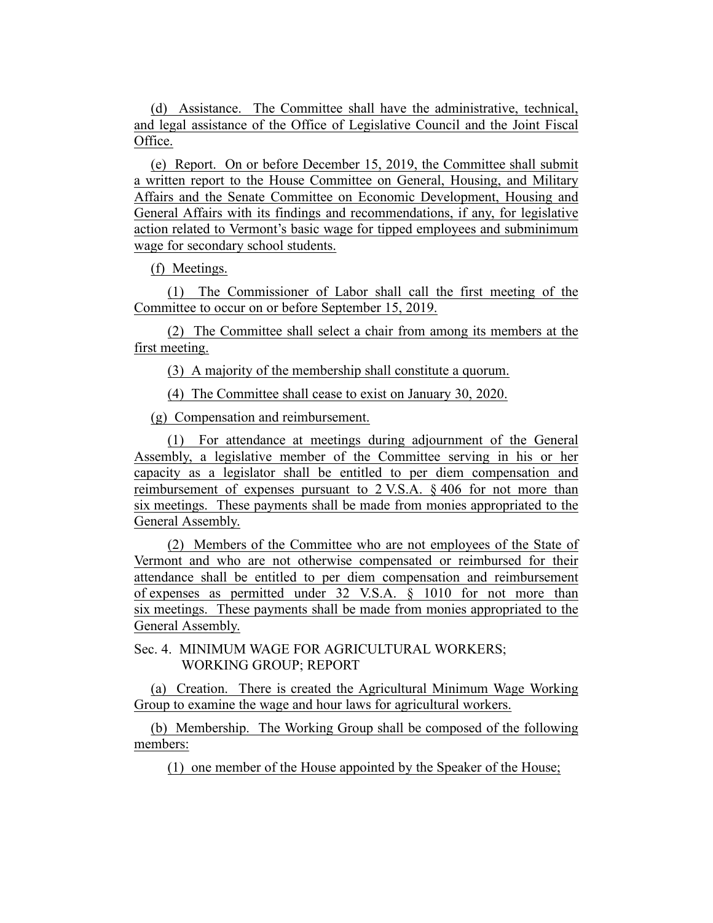(d) Assistance. The Committee shall have the administrative, technical, and legal assistance of the Office of Legislative Council and the Joint Fiscal Office.

(e) Report. On or before December 15, 2019, the Committee shall submit a written report to the House Committee on General, Housing, and Military Affairs and the Senate Committee on Economic Development, Housing and General Affairs with its findings and recommendations, if any, for legislative action related to Vermont's basic wage for tipped employees and subminimum wage for secondary school students.

(f) Meetings.

(1) The Commissioner of Labor shall call the first meeting of the Committee to occur on or before September 15, 2019.

(2) The Committee shall select a chair from among its members at the first meeting.

(3) A majority of the membership shall constitute a quorum.

(4) The Committee shall cease to exist on January 30, 2020.

(g) Compensation and reimbursement.

(1) For attendance at meetings during adjournment of the General Assembly, a legislative member of the Committee serving in his or her capacity as a legislator shall be entitled to per diem compensation and reimbursement of expenses pursuant to 2 V.S.A. § 406 for not more than six meetings. These payments shall be made from monies appropriated to the General Assembly.

(2) Members of the Committee who are not employees of the State of Vermont and who are not otherwise compensated or reimbursed for their attendance shall be entitled to per diem compensation and reimbursement of expenses as permitted under 32 V.S.A. § 1010 for not more than six meetings. These payments shall be made from monies appropriated to the General Assembly.

Sec. 4. MINIMUM WAGE FOR AGRICULTURAL WORKERS; WORKING GROUP; REPORT

(a) Creation. There is created the Agricultural Minimum Wage Working Group to examine the wage and hour laws for agricultural workers.

(b) Membership. The Working Group shall be composed of the following members:

(1) one member of the House appointed by the Speaker of the House;